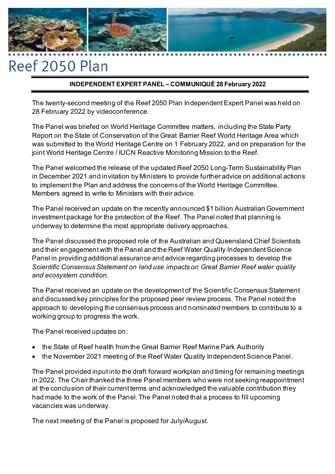

# Reef 2050 Plan

# **INDEPENDENT EXPERT PANEL – COMMUNIQUÉ 28 February 2022**

The twenty-second meeting of the Reef 2050 Plan Independent Expert Panel was held on 28 February 2022 by videoconference.

The Panel was briefed on World Heritage Committee matters, including the State Party Report on the State of Conservation of the Great Barrier Reef World Heritage Area which was submitted to the World Heritage Centre on 1 February 2022, and on preparation for the joint World Heritage Centre / IUCN Reactive Monitoring Mission to the Reef.

The Panel welcomed the release of the updated Reef 2050 Long-Term Sustainability Plan in December 2021 and invitation by Ministers to provide further advice on additional actions to implement the Plan and address the concerns of the World Heritage Committee. Members agreed to write to Ministers with their advice.

The Panel received an update on the recently announced \$1 billion Australian Government investment package for the protection of the Reef. The Panel noted that planning is underway to determine the most appropriate delivery approaches.

The Panel discussed the proposed role of the Australian and Queensland Chief Scientists and their engagement with the Panel and the Reef Water Quality Independent Science Panel in providing additional assurance and advice regarding processes to develop the *Scientific Consensus Statement on land use impacts on Great Barrier Reef water quality and ecosystem condition*.

The Panel received an update on the development of the Scientific Consensus Statement and discussed key principles for the proposed peer review process. The Panel noted the approach to developing the consensus process and nominated members to contribute to a working group to progress the work.

The Panel received updates on:

- the State of Reef health from the Great Barrier Reef Marine Park Authority
- the November 2021 meeting of the Reef Water Quality Independent Science Panel.

The Panel provided input into the draft forward workplan and timing for remaining meetings in 2022. The Chair thanked the three Panel members who were not seeking reappointment at the conclusion of their current terms and acknowledged the valuable contribution they had made to the work of the Panel. The Panel noted that a process to fill upcoming vacancies was underway.

The next meeting of the Panel is proposed for July/August.